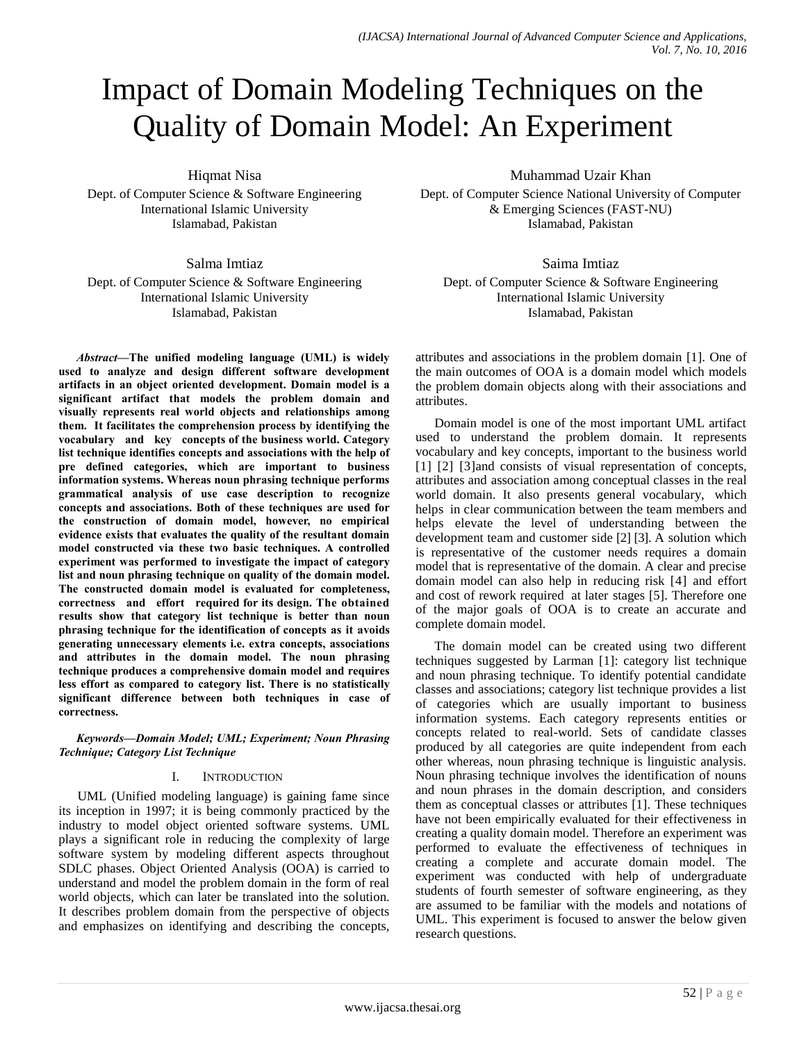# Impact of Domain Modeling Techniques on the Quality of Domain Model: An Experiment

Hiqmat Nisa

Dept. of Computer Science & Software Engineering International Islamic University Islamabad, Pakistan

Salma Imtiaz

Dept. of Computer Science & Software Engineering International Islamic University Islamabad, Pakistan

*Abstract***—The unified modeling language (UML) is widely used to analyze and design different software development artifacts in an object oriented development. Domain model is a significant artifact that models the problem domain and visually represents real world objects and relationships among them. It facilitates the comprehension process by identifying the vocabulary and key concepts of the business world. Category list technique identifies concepts and associations with the help of pre defined categories, which are important to business information systems. Whereas noun phrasing technique performs grammatical analysis of use case description to recognize concepts and associations. Both of these techniques are used for the construction of domain model, however, no empirical evidence exists that evaluates the quality of the resultant domain model constructed via these two basic techniques. A controlled experiment was performed to investigate the impact of category list and noun phrasing technique on quality of the domain model. The constructed domain model is evaluated for completeness, correctness and effort required for its design. The obtained results show that category list technique is better than noun phrasing technique for the identification of concepts as it avoids generating unnecessary elements i.e. extra concepts, associations and attributes in the domain model. The noun phrasing technique produces a comprehensive domain model and requires less effort as compared to category list. There is no statistically significant difference between both techniques in case of correctness.**

*Keywords—Domain Model; UML; Experiment; Noun Phrasing Technique; Category List Technique*

#### I. INTRODUCTION

UML (Unified modeling language) is gaining fame since its inception in 1997; it is being commonly practiced by the industry to model object oriented software systems. UML plays a significant role in reducing the complexity of large software system by modeling different aspects throughout SDLC phases. Object Oriented Analysis (OOA) is carried to understand and model the problem domain in the form of real world objects, which can later be translated into the solution. It describes problem domain from the perspective of objects and emphasizes on identifying and describing the concepts, Muhammad Uzair Khan

Dept. of Computer Science National University of Computer & Emerging Sciences (FAST-NU) Islamabad, Pakistan

Saima Imtiaz Dept. of Computer Science & Software Engineering International Islamic University Islamabad, Pakistan

attributes and associations in the problem domain [1]. One of the main outcomes of OOA is a domain model which models the problem domain objects along with their associations and attributes.

Domain model is one of the most important UML artifact used to understand the problem domain. It represents vocabulary and key concepts, important to the business world [1] [2] [3] and consists of visual representation of concepts, attributes and association among conceptual classes in the real world domain. It also presents general vocabulary, which helps in clear communication between the team members and helps elevate the level of understanding between the development team and customer side [2] [3]. A solution which is representative of the customer needs requires a domain model that is representative of the domain. A clear and precise domain model can also help in reducing risk [4] and effort and cost of rework required at later stages [5]. Therefore one of the major goals of OOA is to create an accurate and complete domain model.

The domain model can be created using two different techniques suggested by Larman [1]: category list technique and noun phrasing technique. To identify potential candidate classes and associations; category list technique provides a list of categories which are usually important to business information systems. Each category represents entities or concepts related to real-world. Sets of candidate classes produced by all categories are quite independent from each other whereas, noun phrasing technique is linguistic analysis. Noun phrasing technique involves the identification of nouns and noun phrases in the domain description, and considers them as conceptual classes or attributes [1]. These techniques have not been empirically evaluated for their effectiveness in creating a quality domain model. Therefore an experiment was performed to evaluate the effectiveness of techniques in creating a complete and accurate domain model. The experiment was conducted with help of undergraduate students of fourth semester of software engineering, as they are assumed to be familiar with the models and notations of UML. This experiment is focused to answer the below given research questions.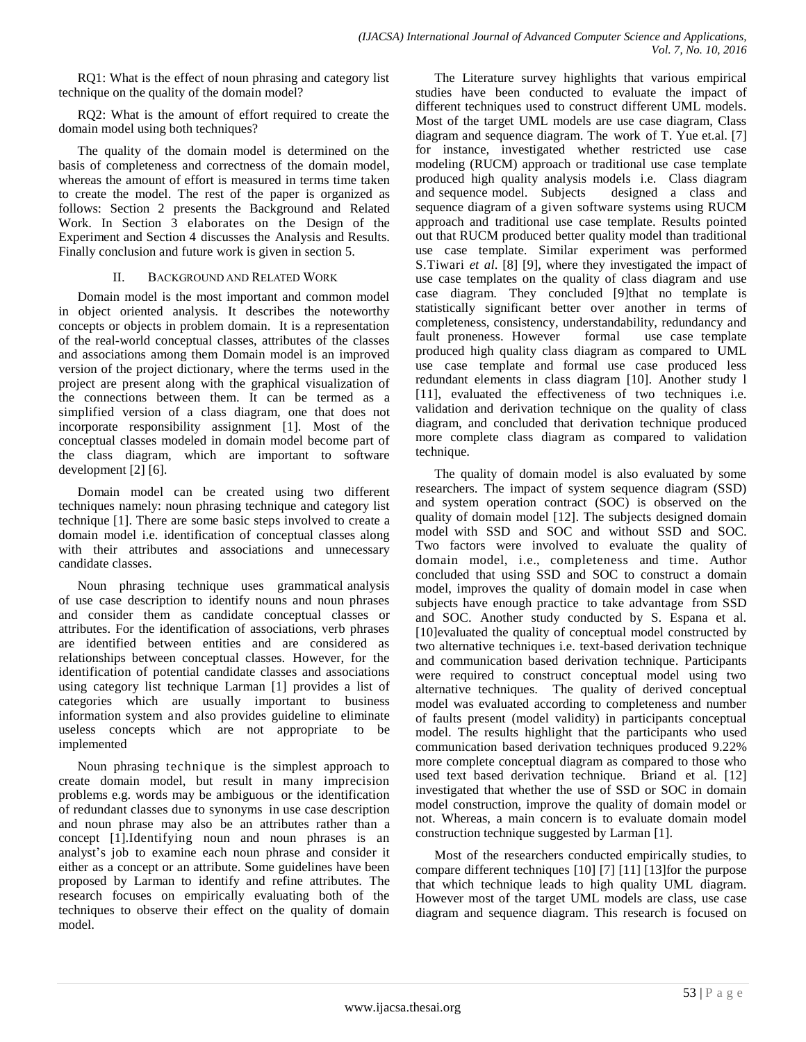RQ1: What is the effect of noun phrasing and category list technique on the quality of the domain model?

RQ2: What is the amount of effort required to create the domain model using both techniques?

The quality of the domain model is determined on the basis of completeness and correctness of the domain model, whereas the amount of effort is measured in terms time taken to create the model. The rest of the paper is organized as follows: Section 2 presents the Background and Related Work. In Section 3 elaborates on the Design of the Experiment and Section 4 discusses the Analysis and Results. Finally conclusion and future work is given in section 5.

#### II. BACKGROUND AND RELATED WORK

Domain model is the most important and common model in object oriented analysis. It describes the noteworthy concepts or objects in problem domain. It is a representation of the real-world conceptual classes, attributes of the classes and associations among them Domain model is an improved version of the project dictionary, where the terms used in the project are present along with the graphical visualization of the connections between them. It can be termed as a simplified version of a class diagram, one that does not incorporate responsibility assignment [1]. Most of the conceptual classes modeled in domain model become part of the class diagram, which are important to software development [2] [6].

Domain model can be created using two different techniques namely: noun phrasing technique and category list technique [1]. There are some basic steps involved to create a domain model i.e. identification of conceptual classes along with their attributes and associations and unnecessary candidate classes.

Noun phrasing technique uses grammatical analysis of use case description to identify nouns and noun phrases and consider them as candidate conceptual classes or attributes. For the identification of associations, verb phrases are identified between entities and are considered as relationships between conceptual classes. However, for the identification of potential candidate classes and associations using category list technique Larman [1] provides a list of categories which are usually important to business information system and also provides guideline to eliminate useless concepts which are not appropriate to be implemented

Noun phrasing technique is the simplest approach to create domain model, but result in many imprecision problems e.g. words may be ambiguous or the identification of redundant classes due to synonyms in use case description and noun phrase may also be an attributes rather than a concept [1].Identifying noun and noun phrases is an analyst's job to examine each noun phrase and consider it either as a concept or an attribute. Some guidelines have been proposed by Larman to identify and refine attributes. The research focuses on empirically evaluating both of the techniques to observe their effect on the quality of domain model.

The Literature survey highlights that various empirical studies have been conducted to evaluate the impact of different techniques used to construct different UML models. Most of the target UML models are use case diagram, Class diagram and sequence diagram. The work of T. Yue et.al. [7] for instance, investigated whether restricted use case modeling (RUCM) approach or traditional use case template produced high quality analysis models i.e. Class diagram and sequence model. Subjects designed a class and sequence diagram of a given software systems using RUCM approach and traditional use case template. Results pointed out that RUCM produced better quality model than traditional use case template. Similar experiment was performed S.Tiwari *et al*. [8] [9], where they investigated the impact of use case templates on the quality of class diagram and use case diagram. They concluded [9]that no template is statistically significant better over another in terms of completeness, consistency, understandability, redundancy and fault proneness. However formal use case template produced high quality class diagram as compared to UML use case template and formal use case produced less redundant elements in class diagram [10]. Another study l [11], evaluated the effectiveness of two techniques i.e. validation and derivation technique on the quality of class diagram, and concluded that derivation technique produced more complete class diagram as compared to validation technique.

The quality of domain model is also evaluated by some researchers. The impact of system sequence diagram (SSD) and system operation contract (SOC) is observed on the quality of domain model [12]. The subjects designed domain model with SSD and SOC and without SSD and SOC. Two factors were involved to evaluate the quality of domain model, i.e., completeness and time. Author concluded that using SSD and SOC to construct a domain model, improves the quality of domain model in case when subjects have enough practice to take advantage from SSD and SOC. Another study conducted by S. Espana et al. [10]evaluated the quality of conceptual model constructed by two alternative techniques i.e. text-based derivation technique and communication based derivation technique. Participants were required to construct conceptual model using two alternative techniques. The quality of derived conceptual model was evaluated according to completeness and number of faults present (model validity) in participants conceptual model. The results highlight that the participants who used communication based derivation techniques produced 9.22% more complete conceptual diagram as compared to those who used text based derivation technique. Briand et al. [12] investigated that whether the use of SSD or SOC in domain model construction, improve the quality of domain model or not. Whereas, a main concern is to evaluate domain model construction technique suggested by Larman [1].

Most of the researchers conducted empirically studies, to compare different techniques [10] [7] [11] [13]for the purpose that which technique leads to high quality UML diagram. However most of the target UML models are class, use case diagram and sequence diagram. This research is focused on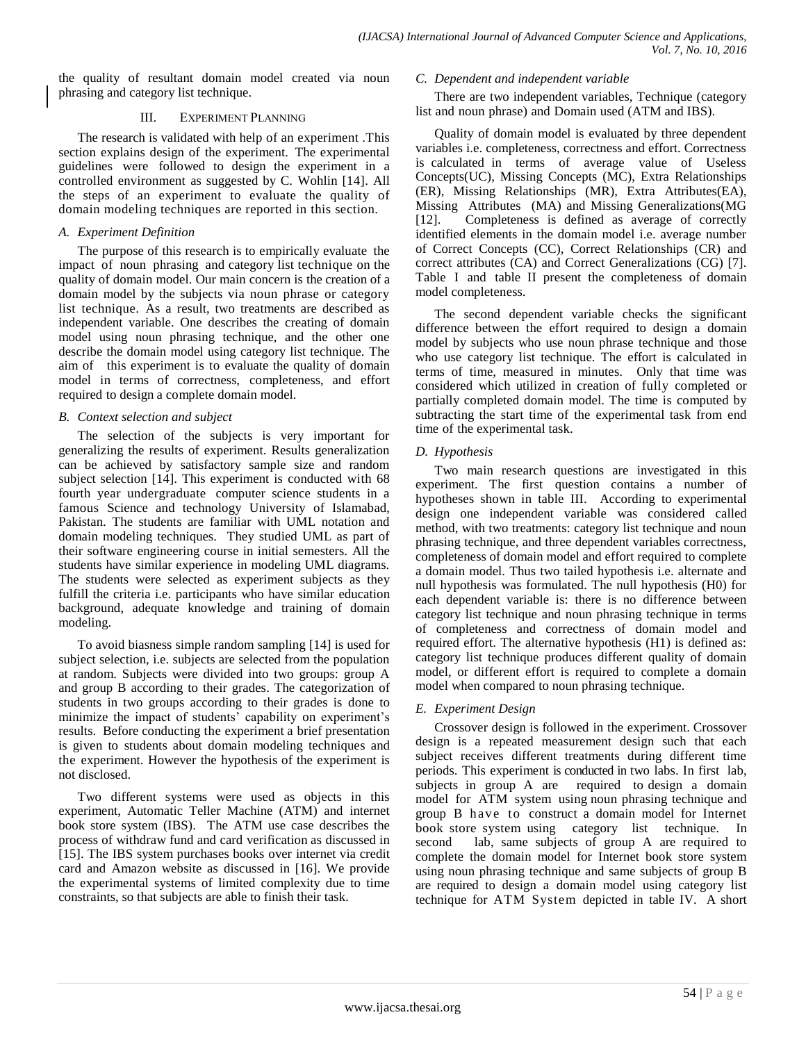the quality of resultant domain model created via noun phrasing and category list technique.

### III. EXPERIMENT PLANNING

The research is validated with help of an experiment .This section explains design of the experiment. The experimental guidelines were followed to design the experiment in a controlled environment as suggested by C. Wohlin [14]. All the steps of an experiment to evaluate the quality of domain modeling techniques are reported in this section.

## *A. Experiment Definition*

The purpose of this research is to empirically evaluate the impact of noun phrasing and category list technique on the quality of domain model. Our main concern is the creation of a domain model by the subjects via noun phrase or category list technique. As a result, two treatments are described as independent variable. One describes the creating of domain model using noun phrasing technique, and the other one describe the domain model using category list technique. The aim of this experiment is to evaluate the quality of domain model in terms of correctness, completeness, and effort required to design a complete domain model.

## *B. Context selection and subject*

The selection of the subjects is very important for generalizing the results of experiment. Results generalization can be achieved by satisfactory sample size and random subject selection [14]. This experiment is conducted with 68 fourth year undergraduate computer science students in a famous Science and technology University of Islamabad, Pakistan. The students are familiar with UML notation and domain modeling techniques. They studied UML as part of their software engineering course in initial semesters. All the students have similar experience in modeling UML diagrams. The students were selected as experiment subjects as they fulfill the criteria i.e. participants who have similar education background, adequate knowledge and training of domain modeling.

To avoid biasness simple random sampling [14] is used for subject selection, i.e. subjects are selected from the population at random. Subjects were divided into two groups: group A and group B according to their grades. The categorization of students in two groups according to their grades is done to minimize the impact of students' capability on experiment's results. Before conducting the experiment a brief presentation is given to students about domain modeling techniques and the experiment. However the hypothesis of the experiment is not disclosed.

Two different systems were used as objects in this experiment, Automatic Teller Machine (ATM) and internet book store system (IBS). The ATM use case describes the process of withdraw fund and card verification as discussed in [15]. The IBS system purchases books over internet via credit card and Amazon website as discussed in [16]. We provide the experimental systems of limited complexity due to time constraints, so that subjects are able to finish their task.

#### *C. Dependent and independent variable*

There are two independent variables, Technique (category list and noun phrase) and Domain used (ATM and IBS).

Quality of domain model is evaluated by three dependent variables i.e. completeness, correctness and effort. Correctness is calculated in terms of average value of Useless Concepts(UC), Missing Concepts (MC), Extra Relationships (ER), Missing Relationships (MR), Extra Attributes(EA), Missing Attributes (MA) and Missing Generalizations(MG [12]. Completeness is defined as average of correctly identified elements in the domain model i.e. average number of Correct Concepts (CC), Correct Relationships (CR) and correct attributes (CA) and Correct Generalizations (CG) [7]. Table I and table II present the completeness of domain model completeness.

The second dependent variable checks the significant difference between the effort required to design a domain model by subjects who use noun phrase technique and those who use category list technique. The effort is calculated in terms of time, measured in minutes. Only that time was considered which utilized in creation of fully completed or partially completed domain model. The time is computed by subtracting the start time of the experimental task from end time of the experimental task.

## *D. Hypothesis*

Two main research questions are investigated in this experiment. The first question contains a number of hypotheses shown in table III. According to experimental design one independent variable was considered called method, with two treatments: category list technique and noun phrasing technique, and three dependent variables correctness, completeness of domain model and effort required to complete a domain model. Thus two tailed hypothesis i.e. alternate and null hypothesis was formulated. The null hypothesis (H0) for each dependent variable is: there is no difference between category list technique and noun phrasing technique in terms of completeness and correctness of domain model and required effort. The alternative hypothesis (H1) is defined as: category list technique produces different quality of domain model, or different effort is required to complete a domain model when compared to noun phrasing technique.

## *E. Experiment Design*

Crossover design is followed in the experiment. Crossover design is a repeated measurement design such that each subject receives different treatments during different time periods. This experiment is conducted in two labs. In first lab, subjects in group A are required to design a domain model for ATM system using noun phrasing technique and group B have to construct a domain model for Internet book store system using category list technique. In second lab, same subjects of group A are required to complete the domain model for Internet book store system using noun phrasing technique and same subjects of group B are required to design a domain model using category list technique for ATM System depicted in table IV. A short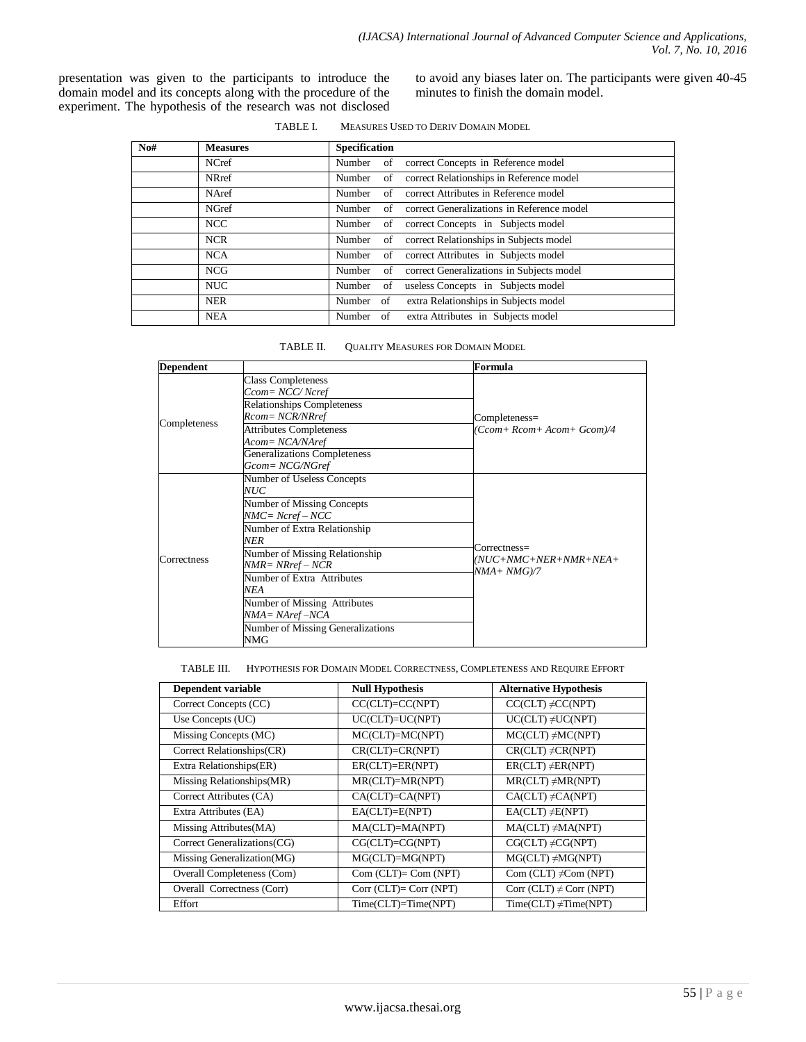presentation was given to the participants to introduce the domain model and its concepts along with the procedure of the experiment. The hypothesis of the research was not disclosed to avoid any biases later on. The participants were given 40-45 minutes to finish the domain model.

| TABLE L |  |  |  | <b>MEASURES USED TO DERIV DOMAIN MODEL</b> |
|---------|--|--|--|--------------------------------------------|
|---------|--|--|--|--------------------------------------------|

| $\mathbf{N}$ o# | <b>Measures</b> | <b>Specification</b>                                    |
|-----------------|-----------------|---------------------------------------------------------|
|                 | NCref           | Number of correct Concepts in Reference model           |
|                 | <b>NRref</b>    | correct Relationships in Reference model<br>Number of   |
|                 | NAref           | correct Attributes in Reference model<br>Number of      |
|                 | <b>NGref</b>    | correct Generalizations in Reference model<br>Number of |
|                 | <b>NCC</b>      | correct Concepts in Subjects model<br>Number of         |
|                 | <b>NCR</b>      | correct Relationships in Subjects model<br>Number of    |
|                 | NCA             | correct Attributes in Subjects model<br>Number of       |
|                 | <b>NCG</b>      | correct Generalizations in Subjects model<br>Number of  |
|                 | <b>NUC</b>      | useless Concepts in Subjects model<br>Number<br>of      |
|                 | <b>NER</b>      | extra Relationships in Subjects model<br>Number of      |
|                 | <b>NEA</b>      | Number of extra Attributes in Subjects model            |

| TABLE II. | <b>OUALITY MEASURES FOR DOMAIN MODEL</b> |
|-----------|------------------------------------------|
|-----------|------------------------------------------|

| <b>Dependent</b> |                                                        | Formula                                 |
|------------------|--------------------------------------------------------|-----------------------------------------|
|                  | <b>Class Completeness</b><br>Ccom= NCC/Ncref           |                                         |
|                  | <b>Relationships Completeness</b><br>Rcom= NCR/NRref   | Completeness=                           |
| Completeness     | <b>Attributes Completeness</b><br>Acom= NCA/NAref      | Ccom+Rcom+Acom+Gcom)/4                  |
|                  | <b>Generalizations Completeness</b><br>Gcom= NCG/NGref |                                         |
|                  | Number of Useless Concepts<br>NUC                      |                                         |
|                  | Number of Missing Concepts<br>NMC= Ncref – NCC         |                                         |
|                  | Number of Extra Relationship<br>NER                    | $\text{Correctness}$ =                  |
| Correctness      | Number of Missing Relationship<br>$NMR = NRref - NCR$  | $(NUC+NMC+NER+NMR+NEA+)$<br>NMA+ NMG)/7 |
|                  | Number of Extra Attributes<br>NEA                      |                                         |
|                  | Number of Missing Attributes<br>$NMA = NAref - NCA$    |                                         |
|                  | Number of Missing Generalizations<br>NMG               |                                         |

TABLE III. HYPOTHESIS FOR DOMAIN MODEL CORRECTNESS, COMPLETENESS AND REQUIRE EFFORT

| Dependent variable           | <b>Null Hypothesis</b>     | <b>Alternative Hypothesis</b> |
|------------------------------|----------------------------|-------------------------------|
| Correct Concepts (CC)        | $CC (CLT) = CC (NPT)$      | $CCCLT) \neq CC(NPT)$         |
| Use Concepts (UC)            | $UC(CLT) = UC(NPT)$        | $UCCLT) \neq UC(NPT)$         |
| Missing Concepts (MC)        | $MC (CLT)=MC (NPT)$        | $MC (CLT) \neq MC (NPT)$      |
| Correct Relationships(CR)    | CR(CLT)=CR(NPT)            | $CR (CLT) \neq CR (NPT)$      |
| Extra Relationships(ER)      | $ER (CLT)=ER (NPT)$        | $ERCLT) \neq ER(NPT)$         |
| Missing Relationships(MR)    | MR(CLT)=MR(NPT)            | $MRCLT) \neq MR(NPT)$         |
| Correct Attributes (CA)      | CA(CLT)=CA(NPT)            | $CA (CLT) \neq CA (NPT)$      |
| Extra Attributes (EA)        | $EACLT)=E(NPT)$            | $EACLT) \neq E(NPT)$          |
| Missing Attributes (MA)      | MA(CLT)=MA(NPT)            | $MACLT) \neq MA(NPT)$         |
| Correct Generalizations (CG) | $CG (CLT)=CG (NPT)$        | $CG (CLT) \neq CG (NPT)$      |
| Missing Generalization(MG)   | $MGCLT) = MG(NPT)$         | $MGCLT) \neq MG(NPT)$         |
| Overall Completeness (Com)   | $Com (CLT) = Com (NPT)$    | Com (CLT) $\neq$ Com (NPT)    |
| Overall Correctness (Corr)   | $Corr$ (CLT)= $Corr$ (NPT) | Corr (CLT) $\neq$ Corr (NPT)  |
| Effort                       | $Time (CLT)=Time (NPT)$    | $TimeCLT) \neq Time(NPT)$     |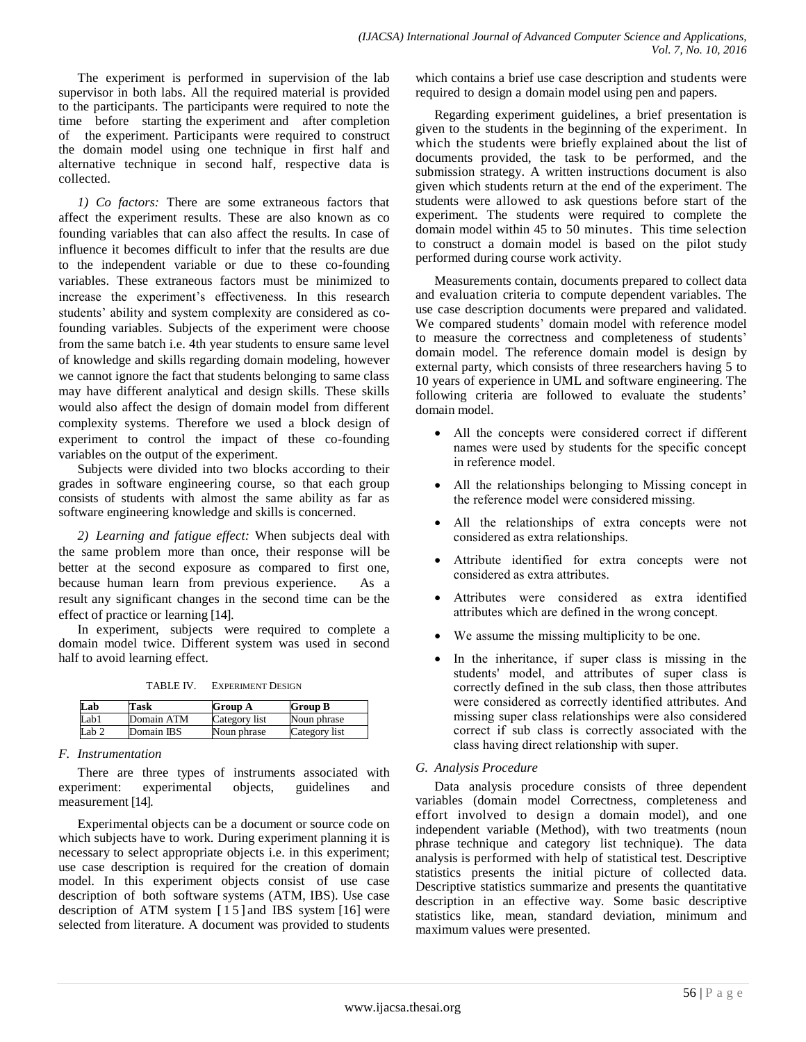The experiment is performed in supervision of the lab supervisor in both labs. All the required material is provided to the participants. The participants were required to note the time before starting the experiment and after completion of the experiment. Participants were required to construct the domain model using one technique in first half and alternative technique in second half, respective data is collected.

*1) Co factors:* There are some extraneous factors that affect the experiment results. These are also known as co founding variables that can also affect the results. In case of influence it becomes difficult to infer that the results are due to the independent variable or due to these co-founding variables. These extraneous factors must be minimized to increase the experiment's effectiveness. In this research students' ability and system complexity are considered as cofounding variables. Subjects of the experiment were choose from the same batch i.e. 4th year students to ensure same level of knowledge and skills regarding domain modeling, however we cannot ignore the fact that students belonging to same class may have different analytical and design skills. These skills would also affect the design of domain model from different complexity systems. Therefore we used a block design of experiment to control the impact of these co-founding variables on the output of the experiment.

Subjects were divided into two blocks according to their grades in software engineering course, so that each group consists of students with almost the same ability as far as software engineering knowledge and skills is concerned.

*2) Learning and fatigue effect:* When subjects deal with the same problem more than once, their response will be better at the second exposure as compared to first one, because human learn from previous experience. As a result any significant changes in the second time can be the effect of practice or learning [14].

In experiment, subjects were required to complete a domain model twice. Different system was used in second half to avoid learning effect.

TABLE IV. EXPERIMENT DESIGN

| Lab   | Task       | <b>Group A</b> | <b>Group B</b> |
|-------|------------|----------------|----------------|
| Lab1  | Domain ATM | Category list  | Noun phrase    |
| Lab 2 | Domain IBS | Noun phrase    | Category list  |

#### *F. Instrumentation*

There are three types of instruments associated with experiment: experimental objects, guidelines and measurement [14].

Experimental objects can be a document or source code on which subjects have to work. During experiment planning it is necessary to select appropriate objects i.e. in this experiment; use case description is required for the creation of domain model. In this experiment objects consist of use case description of both software systems (ATM, IBS). Use case description of ATM system [15] and IBS system [16] were selected from literature. A document was provided to students

which contains a brief use case description and students were required to design a domain model using pen and papers.

Regarding experiment guidelines, a brief presentation is given to the students in the beginning of the experiment. In which the students were briefly explained about the list of documents provided, the task to be performed, and the submission strategy. A written instructions document is also given which students return at the end of the experiment. The students were allowed to ask questions before start of the experiment. The students were required to complete the domain model within 45 to 50 minutes. This time selection to construct a domain model is based on the pilot study performed during course work activity.

Measurements contain, documents prepared to collect data and evaluation criteria to compute dependent variables. The use case description documents were prepared and validated. We compared students' domain model with reference model to measure the correctness and completeness of students' domain model. The reference domain model is design by external party, which consists of three researchers having 5 to 10 years of experience in UML and software engineering. The following criteria are followed to evaluate the students' domain model.

- All the concepts were considered correct if different names were used by students for the specific concept in reference model.
- All the relationships belonging to Missing concept in the reference model were considered missing.
- All the relationships of extra concepts were not considered as extra relationships.
- Attribute identified for extra concepts were not considered as extra attributes.
- Attributes were considered as extra identified attributes which are defined in the wrong concept.
- We assume the missing multiplicity to be one.
- In the inheritance, if super class is missing in the students' model, and attributes of super class is correctly defined in the sub class, then those attributes were considered as correctly identified attributes. And missing super class relationships were also considered correct if sub class is correctly associated with the class having direct relationship with super.

## *G. Analysis Procedure*

Data analysis procedure consists of three dependent variables (domain model Correctness, completeness and effort involved to design a domain model), and one independent variable (Method), with two treatments (noun phrase technique and category list technique). The data analysis is performed with help of statistical test. Descriptive statistics presents the initial picture of collected data. Descriptive statistics summarize and presents the quantitative description in an effective way. Some basic descriptive statistics like, mean, standard deviation, minimum and maximum values were presented.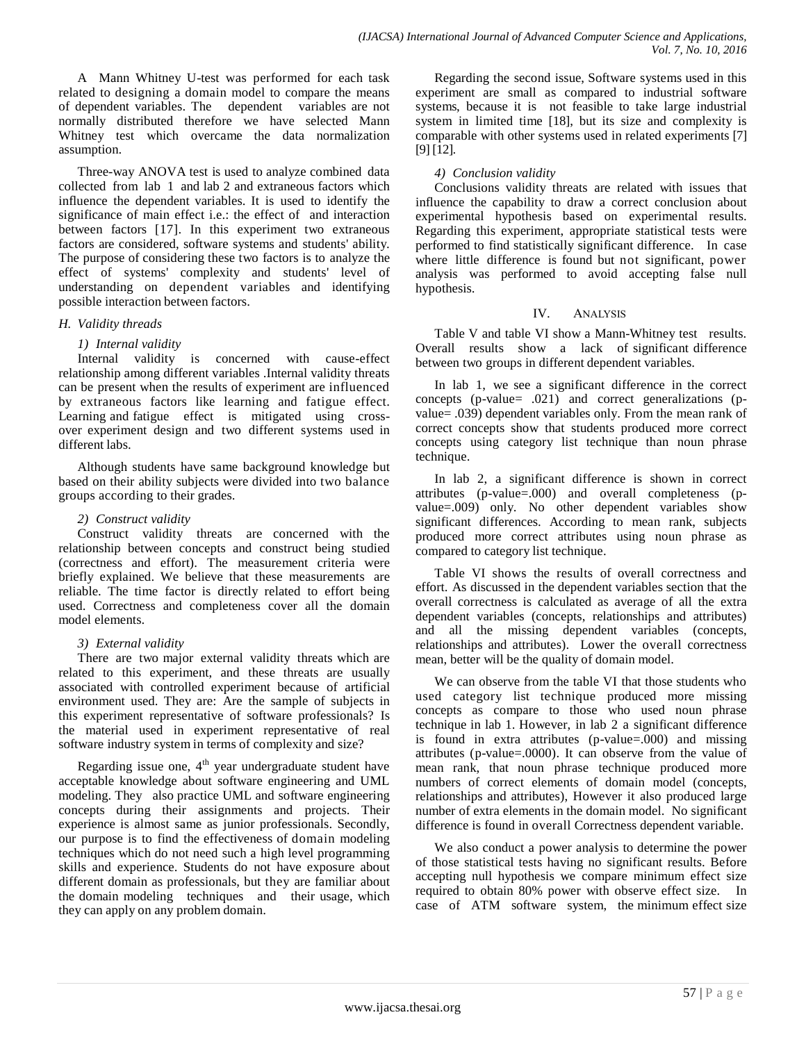A Mann Whitney U-test was performed for each task related to designing a domain model to compare the means of dependent variables. The dependent variables are not normally distributed therefore we have selected Mann Whitney test which overcame the data normalization assumption.

Three-way ANOVA test is used to analyze combined data collected from lab 1 and lab 2 and extraneous factors which influence the dependent variables. It is used to identify the significance of main effect i.e.: the effect of and interaction between factors [17]. In this experiment two extraneous factors are considered, software systems and students' ability. The purpose of considering these two factors is to analyze the effect of systems' complexity and students' level of understanding on dependent variables and identifying possible interaction between factors.

#### *H. Validity threads*

#### *1) Internal validity*

Internal validity is concerned with cause-effect relationship among different variables .Internal validity threats can be present when the results of experiment are influenced by extraneous factors like learning and fatigue effect. Learning and fatigue effect is mitigated using crossover experiment design and two different systems used in different labs.

Although students have same background knowledge but based on their ability subjects were divided into two balance groups according to their grades.

### *2) Construct validity*

Construct validity threats are concerned with the relationship between concepts and construct being studied (correctness and effort). The measurement criteria were briefly explained. We believe that these measurements are reliable. The time factor is directly related to effort being used. Correctness and completeness cover all the domain model elements.

#### *3) External validity*

There are two major external validity threats which are related to this experiment, and these threats are usually associated with controlled experiment because of artificial environment used. They are: Are the sample of subjects in this experiment representative of software professionals? Is the material used in experiment representative of real software industry system in terms of complexity and size?

Regarding issue one,  $4<sup>th</sup>$  year undergraduate student have acceptable knowledge about software engineering and UML modeling. They also practice UML and software engineering concepts during their assignments and projects. Their experience is almost same as junior professionals. Secondly, our purpose is to find the effectiveness of domain modeling techniques which do not need such a high level programming skills and experience. Students do not have exposure about different domain as professionals, but they are familiar about the domain modeling techniques and their usage, which they can apply on any problem domain.

Regarding the second issue, Software systems used in this experiment are small as compared to industrial software systems, because it is not feasible to take large industrial system in limited time [18], but its size and complexity is comparable with other systems used in related experiments [7] [9] [12].

## *4) Conclusion validity*

Conclusions validity threats are related with issues that influence the capability to draw a correct conclusion about experimental hypothesis based on experimental results. Regarding this experiment, appropriate statistical tests were performed to find statistically significant difference. In case where little difference is found but not significant, power analysis was performed to avoid accepting false null hypothesis.

#### IV. ANALYSIS

Table V and table VI show a Mann-Whitney test results. Overall results show a lack of significant difference between two groups in different dependent variables.

In lab 1, we see a significant difference in the correct concepts (p-value= .021) and correct generalizations (pvalue= .039) dependent variables only. From the mean rank of correct concepts show that students produced more correct concepts using category list technique than noun phrase technique.

In lab 2, a significant difference is shown in correct attributes (p-value=.000) and overall completeness (pvalue=.009) only. No other dependent variables show significant differences. According to mean rank, subjects produced more correct attributes using noun phrase as compared to category list technique.

Table VI shows the results of overall correctness and effort. As discussed in the dependent variables section that the overall correctness is calculated as average of all the extra dependent variables (concepts, relationships and attributes) and all the missing dependent variables (concepts, relationships and attributes). Lower the overall correctness mean, better will be the quality of domain model.

We can observe from the table VI that those students who used category list technique produced more missing concepts as compare to those who used noun phrase technique in lab 1. However, in lab 2 a significant difference is found in extra attributes (p-value=.000) and missing attributes (p-value=.0000). It can observe from the value of mean rank, that noun phrase technique produced more numbers of correct elements of domain model (concepts, relationships and attributes), However it also produced large number of extra elements in the domain model. No significant difference is found in overall Correctness dependent variable.

We also conduct a power analysis to determine the power of those statistical tests having no significant results. Before accepting null hypothesis we compare minimum effect size required to obtain 80% power with observe effect size. In case of ATM software system, the minimum effect size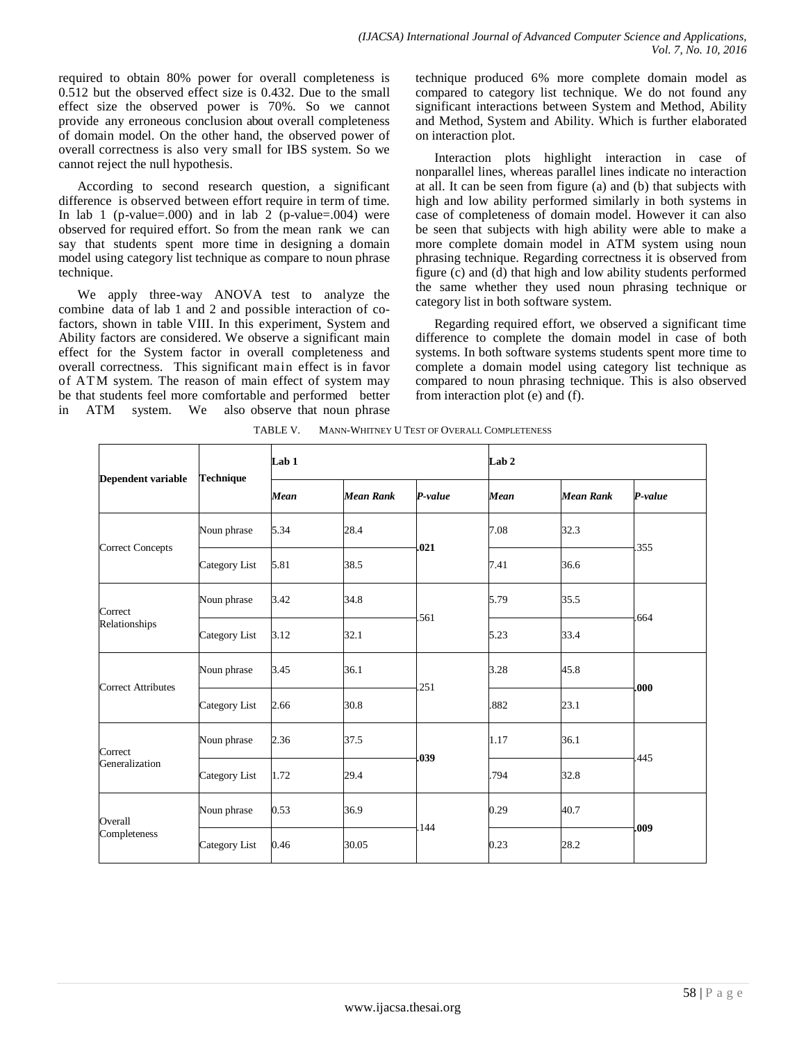required to obtain 80% power for overall completeness is 0.512 but the observed effect size is 0.432. Due to the small effect size the observed power is 70%. So we cannot provide any erroneous conclusion about overall completeness of domain model. On the other hand, the observed power of overall correctness is also very small for IBS system. So we cannot reject the null hypothesis.

According to second research question, a significant difference is observed between effort require in term of time. In lab 1 (p-value=.000) and in lab 2 (p-value=.004) were observed for required effort. So from the mean rank we can say that students spent more time in designing a domain model using category list technique as compare to noun phrase technique.

We apply three-way ANOVA test to analyze the combine data of lab 1 and 2 and possible interaction of cofactors, shown in table VIII. In this experiment, System and Ability factors are considered. We observe a significant main effect for the System factor in overall completeness and overall correctness. This significant main effect is in favor of ATM system. The reason of main effect of system may be that students feel more comfortable and performed better in ATM system. We also observe that noun phrase technique produced 6% more complete domain model as compared to category list technique. We do not found any significant interactions between System and Method, Ability and Method, System and Ability. Which is further elaborated on interaction plot.

Interaction plots highlight interaction in case of nonparallel lines, whereas parallel lines indicate no interaction at all. It can be seen from figure (a) and (b) that subjects with high and low ability performed similarly in both systems in case of completeness of domain model. However it can also be seen that subjects with high ability were able to make a more complete domain model in ATM system using noun phrasing technique. Regarding correctness it is observed from figure (c) and (d) that high and low ability students performed the same whether they used noun phrasing technique or category list in both software system.

Regarding required effort, we observed a significant time difference to complete the domain model in case of both systems. In both software systems students spent more time to complete a domain model using category list technique as compared to noun phrasing technique. This is also observed from interaction plot (e) and (f).

| Dependent variable        | Technique     | Lab <sub>1</sub> |                  |         | Lab <sub>2</sub> |                  |         |  |
|---------------------------|---------------|------------------|------------------|---------|------------------|------------------|---------|--|
|                           |               | Mean             | <b>Mean Rank</b> | P-value | Mean             | <b>Mean Rank</b> | P-value |  |
| <b>Correct Concepts</b>   | Noun phrase   | 5.34             | 28.4             |         | 7.08             | 32.3             |         |  |
|                           | Category List | 5.81             | 38.5             | .021    | 7.41             | 36.6             | .355    |  |
| Correct                   | Noun phrase   | 3.42             | 34.8             |         | 5.79             | 35.5             |         |  |
| Relationships             | Category List | 3.12             | 32.1             | .561    | 5.23             | 33.4             | 664     |  |
|                           | Noun phrase   | 3.45             | 36.1             | .251    | 3.28             | 45.8             | .000    |  |
| <b>Correct Attributes</b> | Category List | 2.66             | 30.8             |         | .882             | 23.1             |         |  |
| Correct                   | Noun phrase   | 2.36             | 37.5             |         | 1.17             | 36.1             | 445     |  |
| Generalization            | Category List | 1.72             | 29.4             | .039    | .794             | 32.8             |         |  |
| Overall                   | Noun phrase   | 0.53             | 36.9             |         | 0.29             | 40.7             |         |  |
| Completeness              | Category List | 0.46             | 30.05            | 144     | 0.23             | 28.2             | .009    |  |
|                           |               |                  |                  |         |                  |                  |         |  |

TABLE V. MANN-WHITNEY U TEST OF OVERALL COMPLETENESS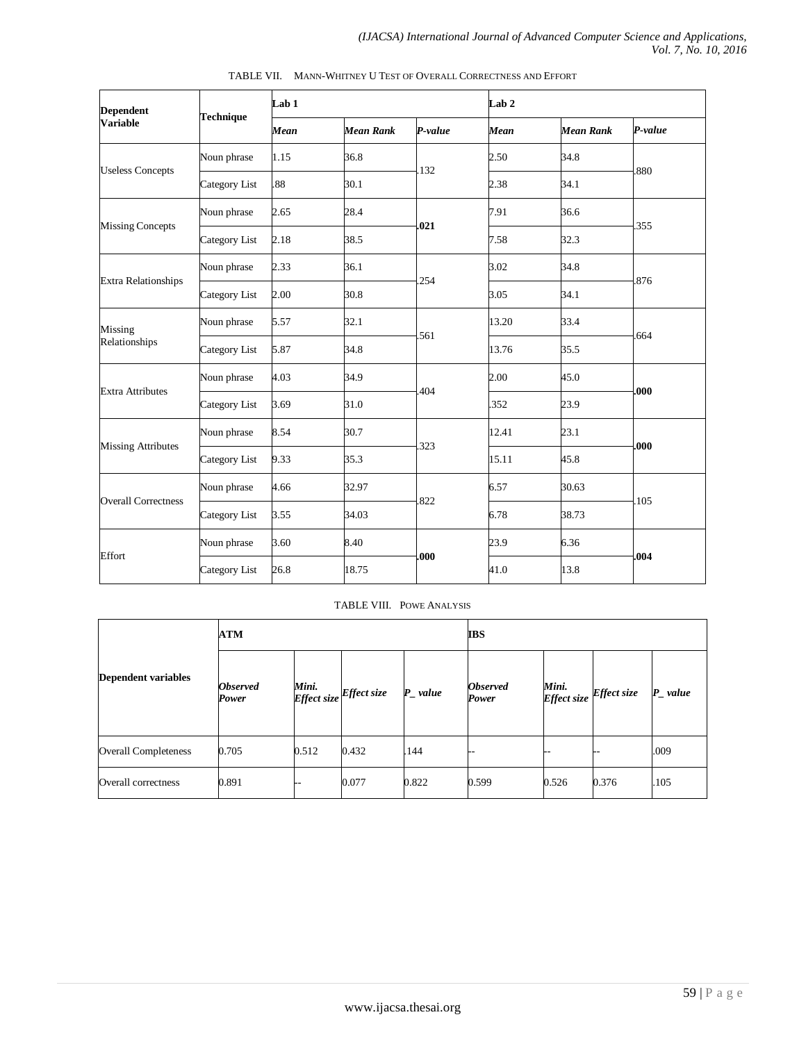| <b>Dependent</b>           | <b>Technique</b> | Lab <sub>1</sub> |                  |         | Lab <sub>2</sub> |                  |         |  |
|----------------------------|------------------|------------------|------------------|---------|------------------|------------------|---------|--|
| <b>Variable</b>            |                  | Mean             | <b>Mean Rank</b> | P-value | Mean             | <b>Mean Rank</b> | P-value |  |
| <b>Useless Concepts</b>    | Noun phrase      | 1.15             | 36.8             | .132    | 2.50             | 34.8             |         |  |
|                            | Category List    | .88              | 30.1             |         | 2.38             | 34.1             | .880    |  |
| <b>Missing Concepts</b>    | Noun phrase      | 2.65             | 28.4             |         | 7.91             | 36.6             |         |  |
|                            | Category List    | 2.18             | 38.5             | .021    | 7.58             | 32.3             | .355    |  |
|                            | Noun phrase      | 2.33             | 36.1             |         | 3.02             | 34.8             | .876    |  |
| <b>Extra Relationships</b> | Category List    | 2.00             | 30.8             | .254    | 3.05             | 34.1             |         |  |
| Missing                    | Noun phrase      | 5.57             | 32.1             | .561    | 13.20            | 33.4             | .664    |  |
| Relationships              | Category List    | 5.87             | 34.8             |         | 13.76            | 35.5             |         |  |
| <b>Extra Attributes</b>    | Noun phrase      | 4.03             | 34.9             | .404    | 2.00             | 45.0             | .000    |  |
|                            | Category List    | 3.69             | 31.0             |         | 352              | 23.9             |         |  |
| <b>Missing Attributes</b>  | Noun phrase      | 8.54             | 30.7             |         | 12.41            | 23.1             | .000    |  |
|                            | Category List    | 9.33             | 35.3             | .323    | 15.11            | 45.8             |         |  |
| <b>Overall Correctness</b> | Noun phrase      | 4.66             | 32.97            | 822     | 6.57             | 30.63            | 105     |  |
|                            | Category List    | 3.55             | 34.03            |         | 6.78             | 38.73            |         |  |
| Effort                     | Noun phrase      | 3.60             | 8.40             | .000    | 23.9             | 6.36             | .004    |  |
|                            | Category List    | 26.8             | 18.75            |         | 41.0             | 13.8             |         |  |

TABLE VII. MANN-WHITNEY U TEST OF OVERALL CORRECTNESS AND EFFORT

#### TABLE VIII. POWE ANALYSIS

| <b>Dependent variables</b>  | <b>ATM</b>               |       |                                  | <b>IBS</b> |                          |       |                         |                        |
|-----------------------------|--------------------------|-------|----------------------------------|------------|--------------------------|-------|-------------------------|------------------------|
|                             | <b>Observed</b><br>Power |       | Mini.<br>Effect size Effect size | $P_value$  | <b>Observed</b><br>Power | Mini. | Effect size Effect size | $P$ <sub>_</sub> value |
| <b>Overall Completeness</b> | 0.705                    | 0.512 | 0.432                            | .144       |                          | --    |                         | .009                   |
| Overall correctness         | 0.891                    |       | 0.077                            | 0.822      | 0.599                    | 0.526 | 0.376                   | .105                   |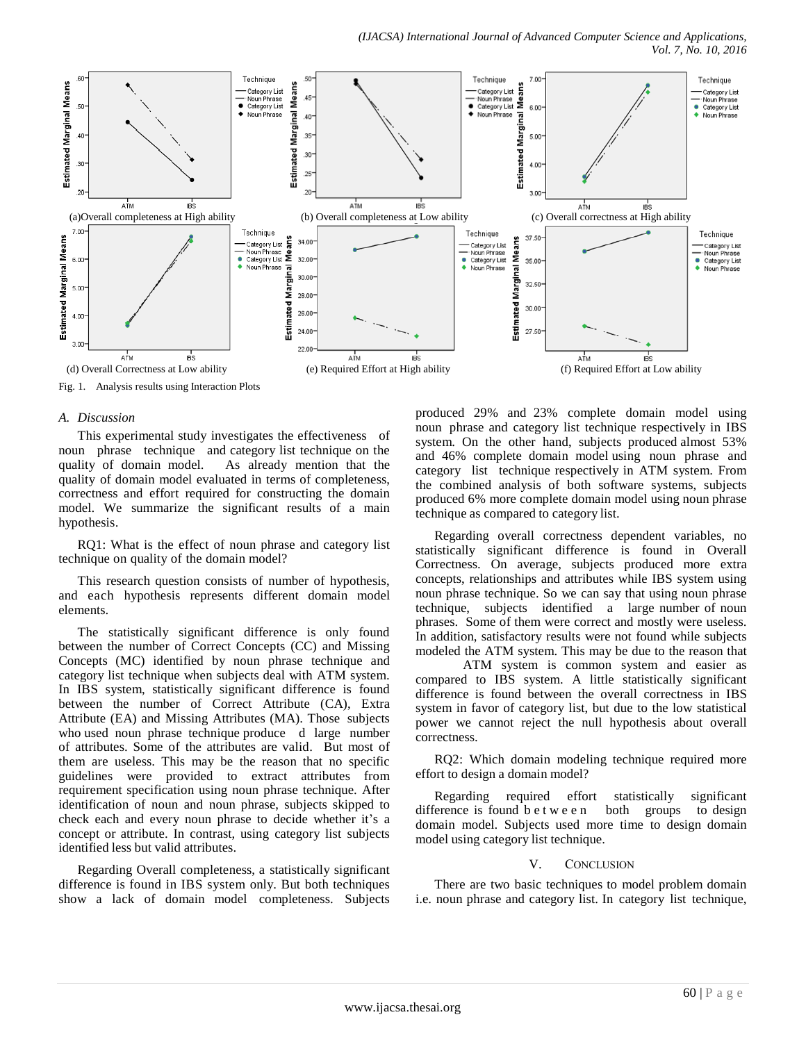

#### *A. Discussion*

This experimental study investigates the effectiveness of noun phrase technique and category list technique on the quality of domain model. As already mention that the quality of domain model evaluated in terms of completeness, correctness and effort required for constructing the domain model. We summarize the significant results of a main hypothesis.

RQ1: What is the effect of noun phrase and category list technique on quality of the domain model?

This research question consists of number of hypothesis, and each hypothesis represents different domain model elements.

The statistically significant difference is only found between the number of Correct Concepts (CC) and Missing Concepts (MC) identified by noun phrase technique and category list technique when subjects deal with ATM system. In IBS system, statistically significant difference is found between the number of Correct Attribute (CA), Extra Attribute (EA) and Missing Attributes (MA). Those subjects who used noun phrase technique produce d large number of attributes. Some of the attributes are valid. But most of them are useless. This may be the reason that no specific guidelines were provided to extract attributes from requirement specification using noun phrase technique. After identification of noun and noun phrase, subjects skipped to check each and every noun phrase to decide whether it's a concept or attribute. In contrast, using category list subjects identified less but valid attributes.

Regarding Overall completeness, a statistically significant difference is found in IBS system only. But both techniques show a lack of domain model completeness. Subjects produced 29% and 23% complete domain model using noun phrase and category list technique respectively in IBS system. On the other hand, subjects produced almost 53% and 46% complete domain model using noun phrase and category list technique respectively in ATM system. From the combined analysis of both software systems, subjects produced 6% more complete domain model using noun phrase technique as compared to category list.

Regarding overall correctness dependent variables, no statistically significant difference is found in Overall Correctness. On average, subjects produced more extra concepts, relationships and attributes while IBS system using noun phrase technique. So we can say that using noun phrase technique, subjects identified a large number of noun phrases. Some of them were correct and mostly were useless. In addition, satisfactory results were not found while subjects modeled the ATM system. This may be due to the reason that

ATM system is common system and easier as compared to IBS system. A little statistically significant difference is found between the overall correctness in IBS system in favor of category list, but due to the low statistical power we cannot reject the null hypothesis about overall correctness.

RQ2: Which domain modeling technique required more effort to design a domain model?

Regarding required effort statistically significant difference is found b e t w e e n both groups to design domain model. Subjects used more time to design domain model using category list technique.

#### V. CONCLUSION

There are two basic techniques to model problem domain i.e. noun phrase and category list. In category list technique,